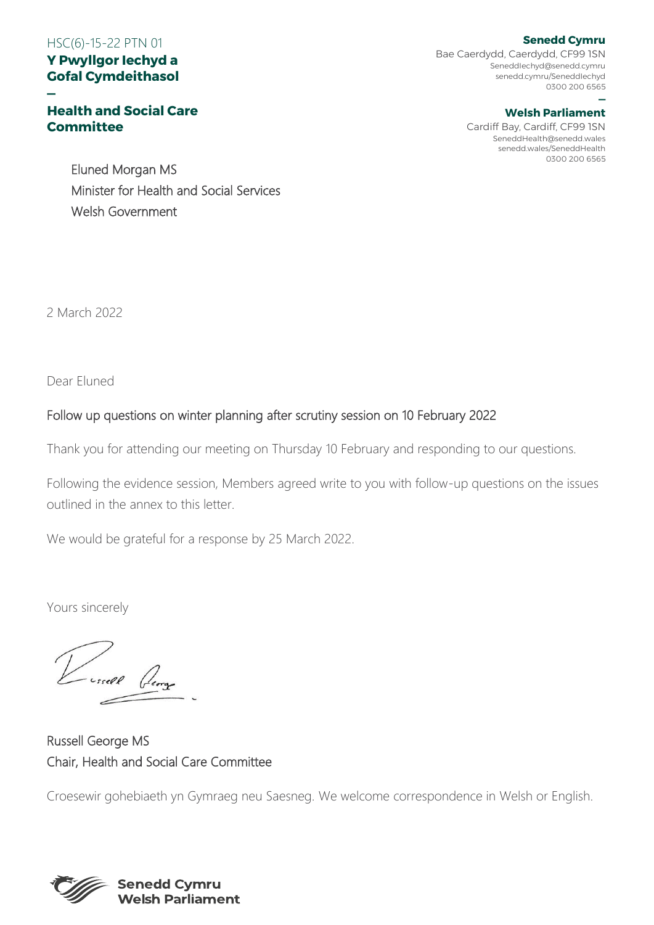# HSC(6)-15-22 PTN 01

### **Y Pwyllgor Iechyd a Gofal Cymdeithasol**

### **— Health and Social Care Committee**

Bae Caerdydd, Caerdydd, CF99 1SN SeneddIechyd@senedd.cymru senedd.cymru/SeneddIechyd 0300 200 6565

#### **— Welsh Parliament**

Cardiff Bay, Cardiff, CF99 1SN SeneddHealth@senedd.wales senedd.wales/SeneddHealth 0300 200 6565

Eluned Morgan MS Minister for Health and Social Services Welsh Government

2 March 2022

Dear Eluned

## Follow up questions on winter planning after scrutiny session on 10 February 2022

Thank you for attending our meeting on Thursday 10 February and responding to our questions.

Following the evidence session, Members agreed write to you with follow-up questions on the issues outlined in the annex to this letter.

We would be grateful for a response by 25 March 2022.

Yours sincerely

Turnell George

Russell George MS Chair, Health and Social Care Committee

Croesewir gohebiaeth yn Gymraeg neu Saesneg. We welcome correspondence in Welsh or English.



#### **Senedd Cymru**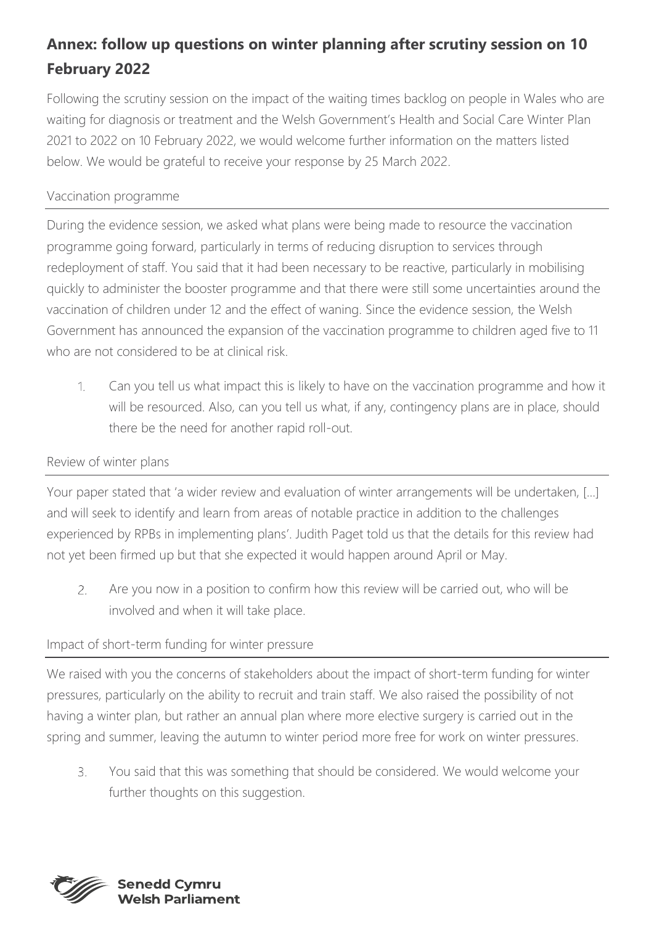# **Annex: follow up questions on winter planning after scrutiny session on 10 February 2022**

Following the scrutiny session on the impact of the waiting times backlog on people in Wales who are waiting for diagnosis or treatment and the Welsh Government's Health and Social Care Winter Plan 2021 to 2022 on 10 February 2022, we would welcome further information on the matters listed below. We would be grateful to receive your response by 25 March 2022.

## Vaccination programme

During the evidence session, we asked what plans were being made to resource the vaccination programme going forward, particularly in terms of reducing disruption to services through redeployment of staff. You said that it had been necessary to be reactive, particularly in mobilising quickly to administer the booster programme and that there were still some uncertainties around the vaccination of children under 12 and the effect of waning. Since the evidence session, the Welsh Government has announced the expansion of the vaccination programme to children aged five to 11 who are not considered to be at clinical risk.

 $\mathcal{L}$ Can you tell us what impact this is likely to have on the vaccination programme and how it will be resourced. Also, can you tell us what, if any, contingency plans are in place, should there be the need for another rapid roll-out.

## Review of winter plans

Your paper stated that 'a wider review and evaluation of winter arrangements will be undertaken, [...] and will seek to identify and learn from areas of notable practice in addition to the challenges experienced by RPBs in implementing plans'. Judith Paget told us that the details for this review had not yet been firmed up but that she expected it would happen around April or May.

Are you now in a position to confirm how this review will be carried out, who will be 2. involved and when it will take place.

## Impact of short-term funding for winter pressure

We raised with you the concerns of stakeholders about the impact of short-term funding for winter pressures, particularly on the ability to recruit and train staff. We also raised the possibility of not having a winter plan, but rather an annual plan where more elective surgery is carried out in the spring and summer, leaving the autumn to winter period more free for work on winter pressures.

 $3.$ You said that this was something that should be considered. We would welcome your further thoughts on this suggestion.